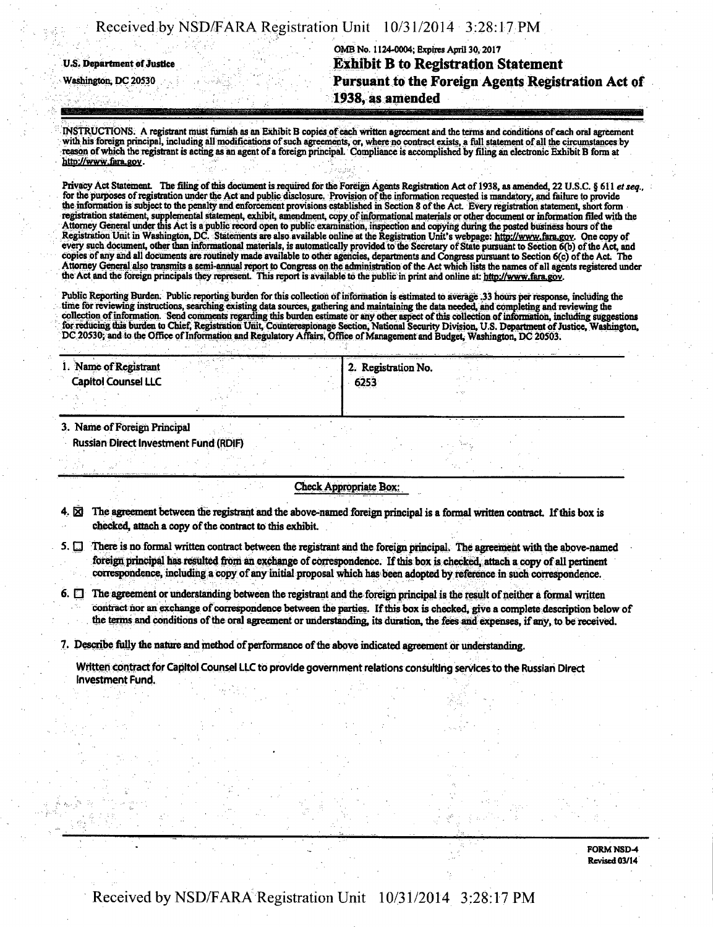|  | Received by NSD/FARA Registration Unit 10/31/2014 3:28:17 PM |  |
|--|--------------------------------------------------------------|--|
|  |                                                              |  |
|  |                                                              |  |

OMB No. 1124-0004; Expires April 30,2017 **u,s. Department of justice Exhibit B to Registration Statement Washington, DC 20530 Pursuant to the Foreign Agents Registration Act of 1938, as amended** 

INSTRUCTIONS. A registrant must furnish as an Exhibit B copies of each written agreement and the terms and conditions of each oral agreement with his foreign principal, including all modifications of such agreements, or, where no contract exists, a full statement of all the circumstances by reason of which the registrant is acting as an agent ofa foreign principal. Compliance is accomplished by filing an electronic Exhibit B form at http://ww.iara.gov.

Privacy Act Statement. The filing of this document is required for the Foreign Agents Registration Act of 1938, as amended, 22 U.S.C. § 611 et seq., for the purposes of registration under the Act and public disclosure. Provision of the information requested is mandatory, and failure to provide the information is subject to the penalty and enforcement provisions established in Section 8 of the Act. Every registration statement, short form registration statement, supplemental statement, exhibit, amendment, copy of informational materials or other document or information filed with the Attorney General under this Act is a public record open to public examination, inspection and copying during the posted business hours of the Registration Unit in Washington, DC. Statements are also available online at the Registration Unit's webpage: http://www.fara.gov. One copy of every such document, other than informational materials, is automatically provided to the Secretary of State pursuant to Section 6(b) of the Act, and copies of any and all documents are routinely made available to other agencies, departments and Congress pursuant to Section 6(c) of the Act. The Attorney General also transmits a semi-annual report to Congress on the administration of the Act which lists the names of all agents registered under the Act and the foreign principals they represent. This report is available to the public in print and online at: http://www.fara.gov.

Public Reporting Burden. Public reporting burden for this collection of information is estimated to average .33 hours per response, including the time for reviewing instructions, searching existing data sources, gathering and maintaining the data needed, and completing and reviewing the collection of information. Send comments regarding this burden estimate or any other aspect of this collection of information, including suggestions for reducing this burden to Chief, Registration Unit, Counterespionage Section, National Security Division, U.S. Department of Justice, Washington, DC 20530; and to the Office of Information and Regulatory Affairs, Office of Management and Budget, Washington, DC 20503.

| . Name of Registrant         | 2. Registration No.            |      |  |
|------------------------------|--------------------------------|------|--|
| <b>Capitol Counsel LLC</b>   | 5253<br><b>Mr. Pr. Pr. Pr.</b> |      |  |
|                              |                                | - 55 |  |
| 3. Name of Foreign Principal |                                |      |  |

Russian Direct Investment Fund (RDIF)

#### Check Appropriate Box:

4.  $\boxtimes$  The agreement between the registrant and the above-named foreign principal is a formal written contract. If this box is checked, attach a copy of the contract to this exhibit

- 5.  $\Box$  There is no formal written contract between the registrant and the foreign principal. The agreement with the above-named foreign principal has resulted from an exchange of correspondence. If this box is checked, attach a copy of all pertinent correspondence, including a copy of any initial proposal which has been adopted by reference in such correspondence.
- $6.$   $\Box$  The agreement or understanding between the registrant and the foreign principal is the result of neither a formal written contract nor an exchange of correspondence between the parties. If this box is checked, give a corrrplete description below of the terms and conditions of the oral agreement or understanding, its duration, the fees and expenses, if any, to be received.

7. Describe fully the nature and method of performance of the above indicated agreement or understanding.

Written contract for Capitol Counsel LLC to provide government relations consulting services to the Russian Direct Investment Fund.

> FORM NSD-4 Revised 03/14

### Received by NSD/FARA Registration Unit 10/31/2014 3:28:17 PM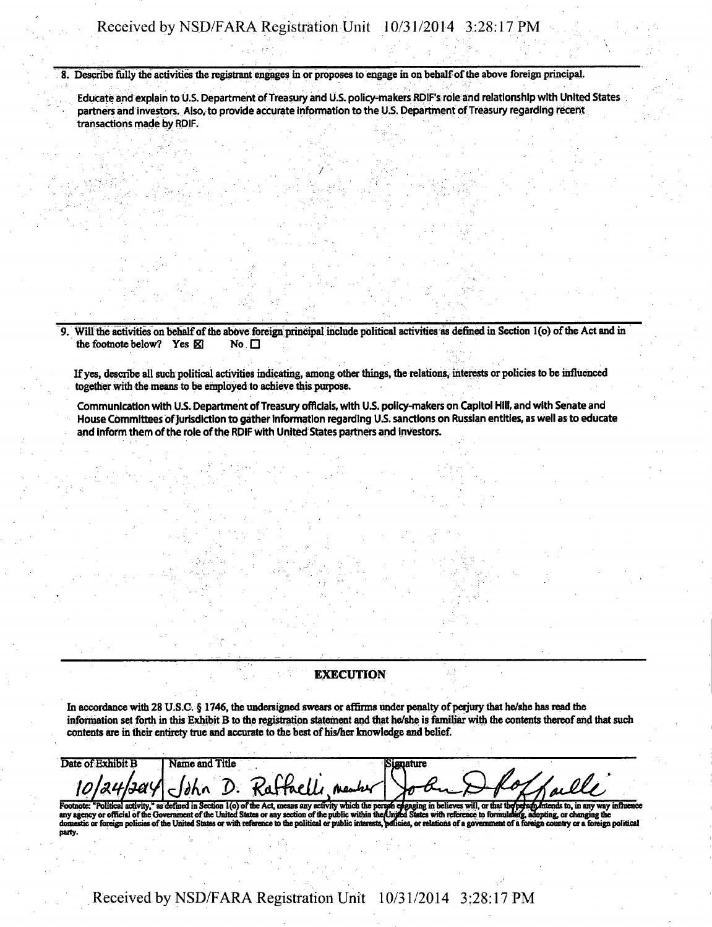**8. Describe folly the activities the registrant engages in or proposes to engage in on behalf of the above foreign principal,** 

**Educate arid explain to U.S. Department of Treasury and U.S. policy-makers RDIPs role and relationship with United States partners and investors. Also, to provide accurate Information to the U.S. Department of Treasury regarding recent transactions made by RDIF.** 

**9.** Will the activities on behalf of the above foreign principal include political activities as defined in Section 1(o) of the Act and in the footnote below? Yes  $\boxtimes$  No  $\Box$ the footnote below? Yes **K** 

**Ifyes, describe all such political activities indicating, among other tilings, the relations, interests or policies to be influenced together with the means to be employed to achieve this purpose.** 

**Communication with UJS. Department of Treasury officials, with U.S. policy-makers on Capitol Hill, and with Senate and House Committees of jurisdiction to gather Information regarding US. sanctions on Russian entities, as well as to educate and inform them of the role of the RDIF with United States partners and investors.** 

#### **EXECUTION**

**In accordance with 28 U.S.C. § 1746, the undersigned swears or affirms under penalty of perjury that he/she has read the**  information set forth in this Exhibit B to the registration statement and that he/she is familiar with the contents thereof and that such contents are in their entirety true and accurate to the best of his/her knowledge and belief.

| Date of Exhibit B | <b>Name and Title</b> |                                             |          |
|-------------------|-----------------------|---------------------------------------------|----------|
|                   |                       |                                             |          |
|                   |                       | 10/24/2014 John D. Raffaelli neutre John Do | Hothalli |
|                   |                       |                                             |          |
|                   |                       |                                             |          |

Footnote: "Political activity," as defined in Section 1(o) of the Act, means any activity which the person engaging in believes will, or that the person Antends to, in any way inflame any way inflame. The Act is contained **party.** 

**Received by NSD/FARA Registration Unit 10/31/2014 3:28:17 PM**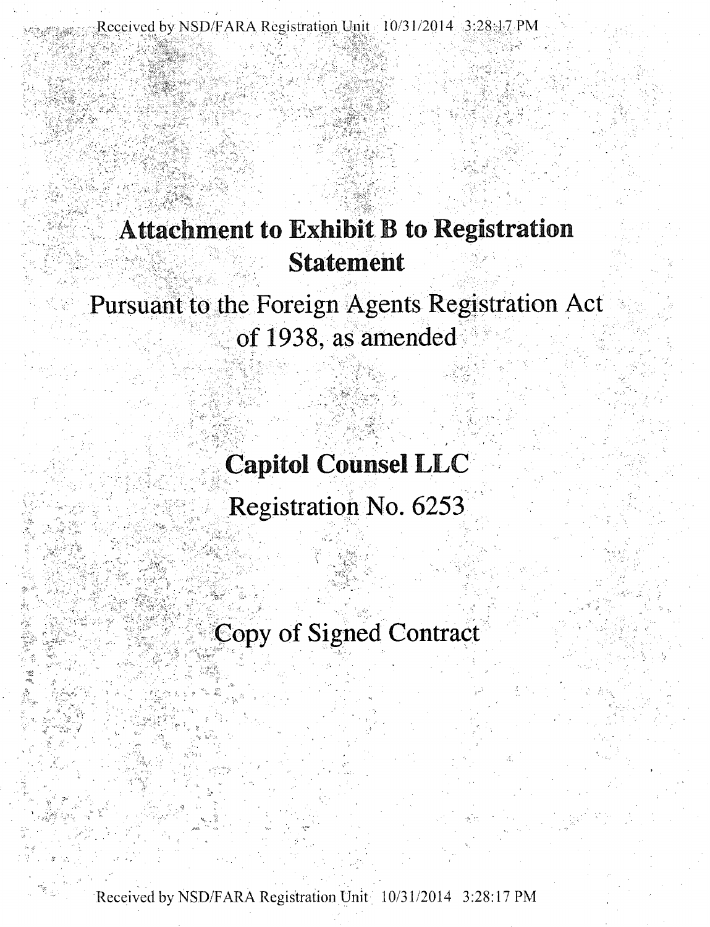**Received by NSD FARA Registration Unit 10 31/2014 3:28:17 PM** 

## **Attachment to Exhibit B to Registration Statement**

# **Pursuant to the Foreign Agents Registration Act of 1938, as amended**

**Capitol Counsel LLC** 

**Registration No. 6253** 

**Copy of Signed Contract** 

Received by NSD/FARA Registration Unit 10/3.1/2014 3:28:17 PM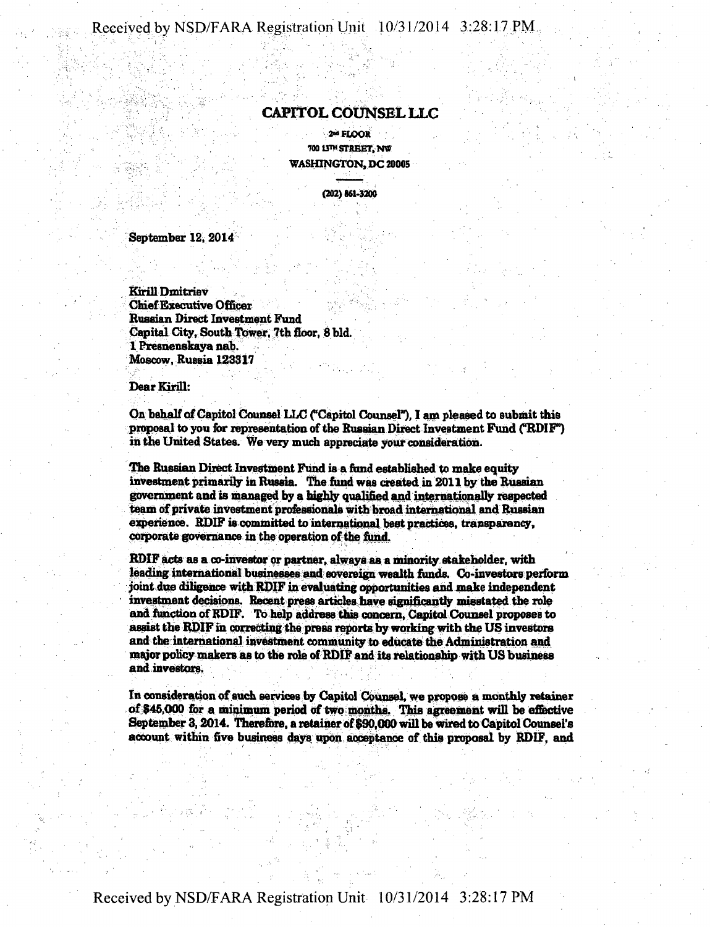**Received by NSD/FARA Registration Unit 10/31/2014 3:28:17 PM** 

### **CAPITOL COUNSEL LLC**

**2-FfcOOR 700 13™ STREET, NW WASHINGTON, DC 20005** 

**(202) 861-3200** 

**September 12, 2014** 

**Kirill Dmitriev Chief Executive Officer Russian Direct Investment Fund**  Capital City, South Tower, 7th floor, 8 bld. **1 Presnenskaya nab. Moscow, Russia 123317** 

**Dear Kirill:** 

**On behalf of Capitol Counsel LLC ("Capitol Counsel"), I am pleased to submit this**  proposal to you for representation of the Russian Direct Investment Fund ("RDIF") **in the United States. We very much appreciate your consideration.** 

**The Russian Direct Investment Fund ia a fund established to make equity investment primarily in Russia. The fund was created in 2011 by the Russian government and is managed by a highly qualified and internationally respected team of private investment professionals with broad international and Russian experience. RDIF is committed to international best practices, transparency, corporate governance in the operation of the fund.** 

ROIF acts as a co-investor or partner, always as a minority stakeholder, with leading international businesses and sovereign wealth funds. Co-investors perform **joint due diligence with RDIF in evaluating opportunities and make independent investment decisions. Recent press articles have significantly misstated the role and function of RDIF. To help address this concern, Capital Counsel proposes to assist the RDIF in correcting the press reports by working with the US investors**  and the international investment community to educate the Administration and **major policy makers as to the role of RDIF and its relationship with US business and investors.** 

**In consideration of such services by Capitol Counsel, we propose a monthly retainer of \$46,000 for a minimum period of two months. This agreement will be effective September 3,2014. Therefbre, a retainer of \$90,000 will be wired to Capitol Counsel's account within five business days upon acceptance of this proposal by RDIF, and**